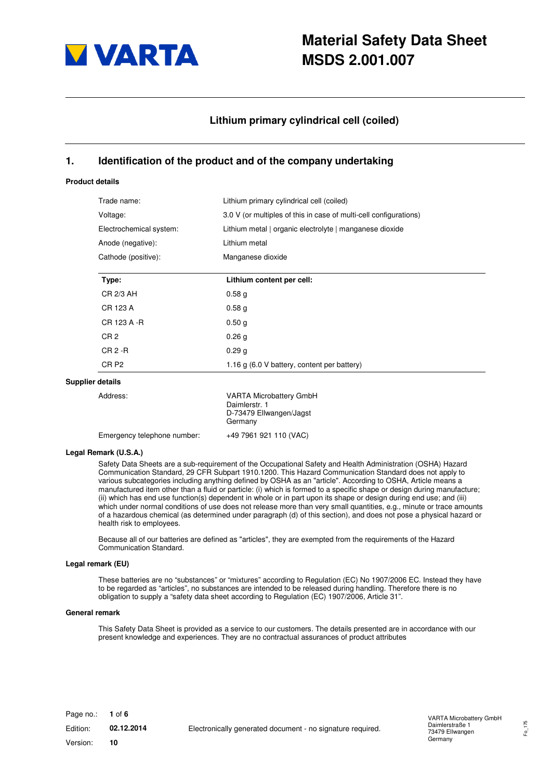

## **Lithium primary cylindrical cell (coiled)**

### **1. Identification of the product and of the company undertaking**

#### **Product details**

|                         | Trade name:                 | Lithium primary cylindrical cell (coiled)                                             |
|-------------------------|-----------------------------|---------------------------------------------------------------------------------------|
| Voltage:                |                             | 3.0 V (or multiples of this in case of multi-cell configurations)                     |
| Electrochemical system: |                             | Lithium metal   organic electrolyte   manganese dioxide                               |
|                         | Anode (negative):           | Lithium metal                                                                         |
|                         | Cathode (positive):         | Manganese dioxide                                                                     |
|                         | Type:                       | Lithium content per cell:                                                             |
|                         | CR 2/3 AH                   | 0.58 <sub>g</sub>                                                                     |
|                         | CR 123 A                    | 0.58 <sub>g</sub>                                                                     |
|                         | CR 123 A -R                 | 0.50 <sub>g</sub>                                                                     |
|                         | CR <sub>2</sub>             | 0.26 <sub>g</sub>                                                                     |
|                         | $CR2 - R$                   | 0.29 <sub>g</sub>                                                                     |
|                         | CR <sub>P2</sub>            | 1.16 g (6.0 V battery, content per battery)                                           |
|                         | <b>Supplier details</b>     |                                                                                       |
|                         | Address:                    | <b>VARTA Microbattery GmbH</b><br>Daimlerstr. 1<br>D-73479 Ellwangen/Jagst<br>Germany |
|                         | Emergency telephone number: | +49 7961 921 110 (VAC)                                                                |

#### **Legal Remark (U.S.A.)**

Safety Data Sheets are a sub-requirement of the Occupational Safety and Health Administration (OSHA) Hazard Communication Standard, 29 CFR Subpart 1910.1200. This Hazard Communication Standard does not apply to various subcategories including anything defined by OSHA as an "article". According to OSHA, Article means a manufactured item other than a fluid or particle: (i) which is formed to a specific shape or design during manufacture; (ii) which has end use function(s) dependent in whole or in part upon its shape or design during end use; and (iii) which under normal conditions of use does not release more than very small quantities, e.g., minute or trace amounts of a hazardous chemical (as determined under paragraph (d) of this section), and does not pose a physical hazard or health risk to employees.

Because all of our batteries are defined as "articles", they are exempted from the requirements of the Hazard Communication Standard.

#### **Legal remark (EU)**

These batteries are no "substances" or "mixtures" according to Regulation (EC) No 1907/2006 EC. Instead they have to be regarded as "articles", no substances are intended to be released during handling. Therefore there is no obligation to supply a "safety data sheet according to Regulation (EC) 1907/2006, Article 31".

#### **General remark**

This Safety Data Sheet is provided as a service to our customers. The details presented are in accordance with our present knowledge and experiences. They are no contractual assurances of product attributes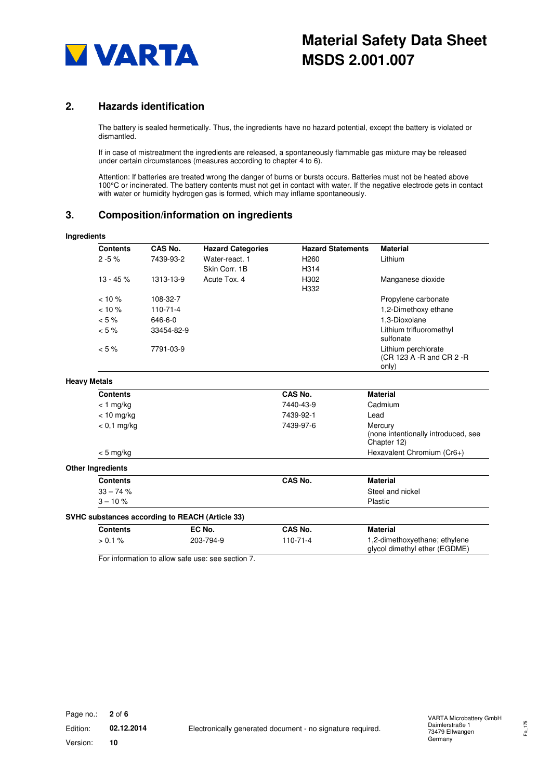

## **2. Hazards identification**

The battery is sealed hermetically. Thus, the ingredients have no hazard potential, except the battery is violated or dismantled.

If in case of mistreatment the ingredients are released, a spontaneously flammable gas mixture may be released under certain circumstances (measures according to chapter 4 to 6).

Attention: If batteries are treated wrong the danger of burns or bursts occurs. Batteries must not be heated above 100°C or incinerated. The battery contents must not get in contact with water. If the negative electrode gets in contact with water or humidity hydrogen gas is formed, which may inflame spontaneously.

## **3. Composition/information on ingredients**

| <b>Ingredients</b>  |                          |                                                 |                                                 |                          |                                                                |
|---------------------|--------------------------|-------------------------------------------------|-------------------------------------------------|--------------------------|----------------------------------------------------------------|
|                     | <b>Contents</b>          | CAS No.                                         | <b>Hazard Categories</b>                        | <b>Hazard Statements</b> | <b>Material</b>                                                |
|                     | $2 - 5%$                 | 7439-93-2                                       | Water-react, 1                                  | H <sub>260</sub>         | Lithium                                                        |
|                     |                          |                                                 | Skin Corr. 1B                                   | H314                     |                                                                |
|                     | $13 - 45%$               | 1313-13-9                                       | Acute Tox. 4                                    | H302<br>H332             | Manganese dioxide                                              |
|                     | $< 10 \%$                | 108-32-7                                        |                                                 |                          | Propylene carbonate                                            |
|                     | $< 10 \%$                | $110 - 71 - 4$                                  |                                                 |                          | 1,2-Dimethoxy ethane                                           |
|                     | $< 5 \%$                 | 646-6-0                                         |                                                 |                          | 1.3-Dioxolane                                                  |
|                     | $< 5 \%$                 | 33454-82-9                                      |                                                 |                          | Lithium trifluoromethyl<br>sulfonate                           |
|                     | $< 5 \%$                 | 7791-03-9                                       |                                                 |                          | Lithium perchlorate<br>(CR 123 A -R and CR 2 -R<br>only)       |
| <b>Heavy Metals</b> |                          |                                                 |                                                 |                          |                                                                |
|                     | <b>Contents</b>          |                                                 |                                                 | CAS No.                  | <b>Material</b>                                                |
|                     | $<$ 1 mg/kg              |                                                 |                                                 | 7440-43-9                | Cadmium                                                        |
|                     | $< 10$ mg/kg             |                                                 |                                                 | 7439-92-1                | Lead                                                           |
|                     | $< 0.1$ mg/kg            |                                                 |                                                 | 7439-97-6                | Mercury<br>(none intentionally introduced, see<br>Chapter 12)  |
|                     | $< 5$ mg/kg              |                                                 |                                                 |                          | Hexavalent Chromium (Cr6+)                                     |
|                     | <b>Other Ingredients</b> |                                                 |                                                 |                          |                                                                |
|                     | <b>Contents</b>          |                                                 |                                                 | CAS No.                  | <b>Material</b>                                                |
|                     | $33 - 74%$               |                                                 |                                                 |                          | Steel and nickel                                               |
|                     | $3 - 10%$                |                                                 |                                                 |                          | Plastic                                                        |
|                     |                          | SVHC substances according to REACH (Article 33) |                                                 |                          |                                                                |
|                     | <b>Contents</b>          |                                                 | EC No.                                          | CAS No.                  | <b>Material</b>                                                |
|                     | $> 0.1 \%$               |                                                 | 203-794-9                                       | $110 - 71 - 4$           | 1,2-dimethoxyethane; ethylene<br>glycol dimethyl ether (EGDME) |
|                     |                          |                                                 | For information to allow safe use see section 7 |                          |                                                                |

For information to allow safe use: see section 7.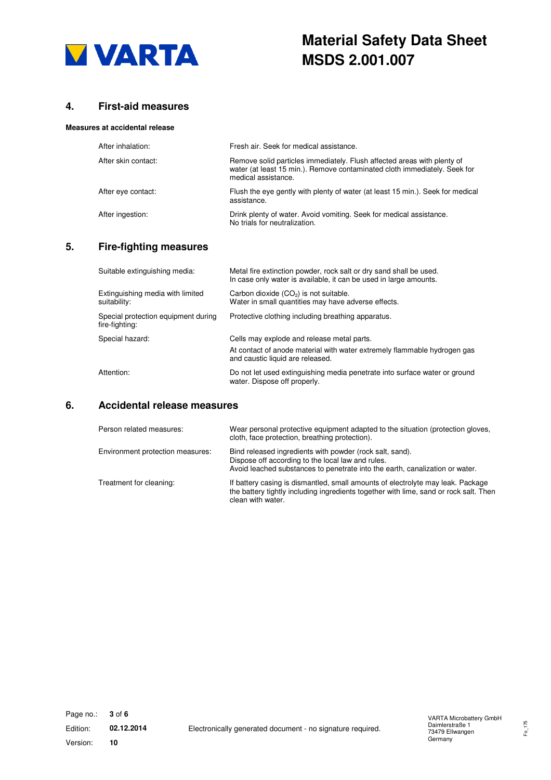

## **4. First-aid measures**

#### **Measures at accidental release**

| After inhalation:   | Fresh air. Seek for medical assistance.                                                                                                                                     |
|---------------------|-----------------------------------------------------------------------------------------------------------------------------------------------------------------------------|
| After skin contact: | Remove solid particles immediately. Flush affected areas with plenty of<br>water (at least 15 min.). Remove contaminated cloth immediately. Seek for<br>medical assistance. |
| After eye contact:  | Flush the eye gently with plenty of water (at least 15 min.). Seek for medical<br>assistance.                                                                               |
| After ingestion:    | Drink plenty of water. Avoid vomiting. Seek for medical assistance.<br>No trials for neutralization.                                                                        |

### **5. Fire-fighting measures**

| Suitable extinguishing media:                         | Metal fire extinction powder, rock salt or dry sand shall be used.<br>In case only water is available, it can be used in large amounts. |
|-------------------------------------------------------|-----------------------------------------------------------------------------------------------------------------------------------------|
| Extinguishing media with limited<br>suitability:      | Carbon dioxide $(CO2)$ is not suitable.<br>Water in small quantities may have adverse effects.                                          |
| Special protection equipment during<br>fire-fighting: | Protective clothing including breathing apparatus.                                                                                      |
| Special hazard:                                       | Cells may explode and release metal parts.                                                                                              |
|                                                       | At contact of anode material with water extremely flammable hydrogen gas<br>and caustic liquid are released.                            |
| Attention:                                            | Do not let used extinguishing media penetrate into surface water or ground<br>water. Dispose off properly.                              |

# **6. Accidental release measures**

| Person related measures:         | Wear personal protective equipment adapted to the situation (protection gloves,<br>cloth, face protection, breathing protection).                                                             |
|----------------------------------|-----------------------------------------------------------------------------------------------------------------------------------------------------------------------------------------------|
| Environment protection measures: | Bind released ingredients with powder (rock salt, sand).<br>Dispose off according to the local law and rules.<br>Avoid leached substances to penetrate into the earth, canalization or water. |
| Treatment for cleaning:          | If battery casing is dismantled, small amounts of electrolyte may leak. Package<br>the battery tightly including ingredients together with lime, sand or rock salt. Then<br>clean with water. |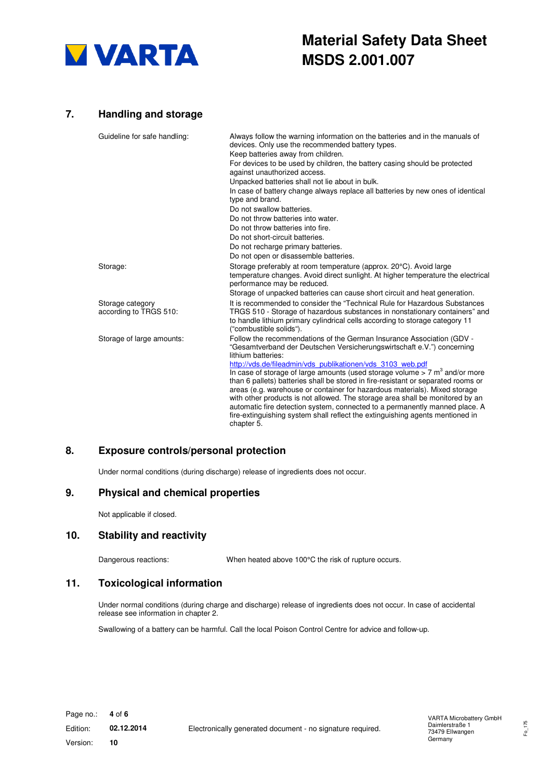

## **7. Handling and storage**

| Guideline for safe handling:               | Always follow the warning information on the batteries and in the manuals of<br>devices. Only use the recommended battery types.<br>Keep batteries away from children.                                                                                                                                                                                                                                                                                                                                                                                                                    |
|--------------------------------------------|-------------------------------------------------------------------------------------------------------------------------------------------------------------------------------------------------------------------------------------------------------------------------------------------------------------------------------------------------------------------------------------------------------------------------------------------------------------------------------------------------------------------------------------------------------------------------------------------|
|                                            | For devices to be used by children, the battery casing should be protected<br>against unauthorized access.                                                                                                                                                                                                                                                                                                                                                                                                                                                                                |
|                                            | Unpacked batteries shall not lie about in bulk.                                                                                                                                                                                                                                                                                                                                                                                                                                                                                                                                           |
|                                            | In case of battery change always replace all batteries by new ones of identical<br>type and brand.                                                                                                                                                                                                                                                                                                                                                                                                                                                                                        |
|                                            | Do not swallow batteries.                                                                                                                                                                                                                                                                                                                                                                                                                                                                                                                                                                 |
|                                            | Do not throw batteries into water.                                                                                                                                                                                                                                                                                                                                                                                                                                                                                                                                                        |
|                                            | Do not throw batteries into fire.                                                                                                                                                                                                                                                                                                                                                                                                                                                                                                                                                         |
|                                            | Do not short-circuit batteries.                                                                                                                                                                                                                                                                                                                                                                                                                                                                                                                                                           |
|                                            | Do not recharge primary batteries.                                                                                                                                                                                                                                                                                                                                                                                                                                                                                                                                                        |
|                                            | Do not open or disassemble batteries.                                                                                                                                                                                                                                                                                                                                                                                                                                                                                                                                                     |
| Storage:                                   | Storage preferably at room temperature (approx. 20°C). Avoid large<br>temperature changes. Avoid direct sunlight. At higher temperature the electrical<br>performance may be reduced.                                                                                                                                                                                                                                                                                                                                                                                                     |
|                                            | Storage of unpacked batteries can cause short circuit and heat generation.                                                                                                                                                                                                                                                                                                                                                                                                                                                                                                                |
| Storage category<br>according to TRGS 510: | It is recommended to consider the "Technical Rule for Hazardous Substances"<br>TRGS 510 - Storage of hazardous substances in nonstationary containers" and<br>to handle lithium primary cylindrical cells according to storage category 11<br>("combustible solids").                                                                                                                                                                                                                                                                                                                     |
| Storage of large amounts:                  | Follow the recommendations of the German Insurance Association (GDV -<br>"Gesamtverband der Deutschen Versicherungswirtschaft e.V.") concerning<br>lithium batteries:                                                                                                                                                                                                                                                                                                                                                                                                                     |
|                                            | http://vds.de/fileadmin/vds publikationen/vds 3103 web.pdf<br>In case of storage of large amounts (used storage volume $> 7$ m <sup>3</sup> and/or more<br>than 6 pallets) batteries shall be stored in fire-resistant or separated rooms or<br>areas (e.g. warehouse or container for hazardous materials). Mixed storage<br>with other products is not allowed. The storage area shall be monitored by an<br>automatic fire detection system, connected to a permanently manned place. A<br>fire-extinguishing system shall reflect the extinguishing agents mentioned in<br>chapter 5. |

#### **8. Exposure controls/personal protection**

Under normal conditions (during discharge) release of ingredients does not occur.

### **9. Physical and chemical properties**

Not applicable if closed.

## **10. Stability and reactivity**

Dangerous reactions: When heated above 100°C the risk of rupture occurs.

## **11. Toxicological information**

Under normal conditions (during charge and discharge) release of ingredients does not occur. In case of accidental release see information in chapter 2.

Swallowing of a battery can be harmful. Call the local Poison Control Centre for advice and follow-up.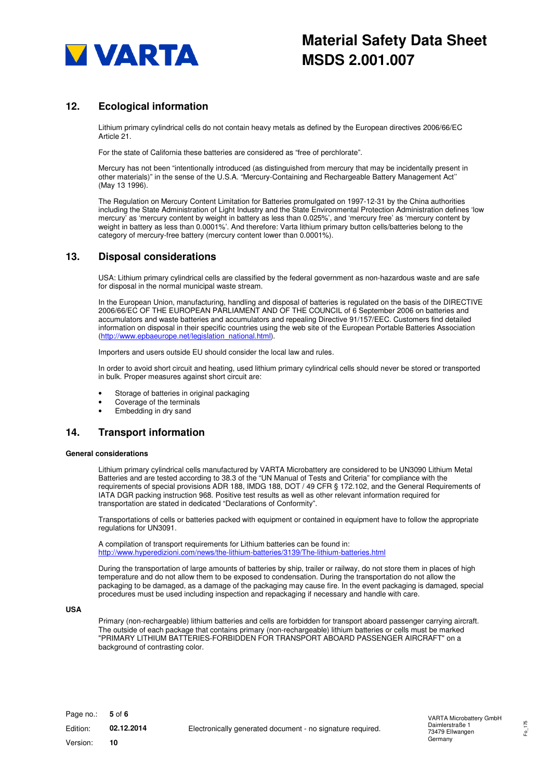

# **12. Ecological information**

Lithium primary cylindrical cells do not contain heavy metals as defined by the European directives 2006/66/EC Article 21.

For the state of California these batteries are considered as "free of perchlorate".

Mercury has not been "intentionally introduced (as distinguished from mercury that may be incidentally present in other materials)" in the sense of the U.S.A. "Mercury-Containing and Rechargeable Battery Management Act'' (May 13 1996).

The Regulation on Mercury Content Limitation for Batteries promulgated on 1997-12-31 by the China authorities including the State Administration of Light Industry and the State Environmental Protection Administration defines 'low mercury' as 'mercury content by weight in battery as less than 0.025%', and 'mercury free' as 'mercury content by weight in battery as less than 0.0001%'. And therefore: Varta lithium primary button cells/batteries belong to the category of mercury-free battery (mercury content lower than 0.0001%).

#### **13. Disposal considerations**

USA: Lithium primary cylindrical cells are classified by the federal government as non-hazardous waste and are safe for disposal in the normal municipal waste stream.

In the European Union, manufacturing, handling and disposal of batteries is regulated on the basis of the DIRECTIVE 2006/66/EC OF THE EUROPEAN PARLIAMENT AND OF THE COUNCIL of 6 September 2006 on batteries and accumulators and waste batteries and accumulators and repealing Directive 91/157/EEC. Customers find detailed information on disposal in their specific countries using the web site of the European Portable Batteries Association (http://www.epbaeurope.net/legislation\_national.html).

Importers and users outside EU should consider the local law and rules.

In order to avoid short circuit and heating, used lithium primary cylindrical cells should never be stored or transported in bulk. Proper measures against short circuit are:

- Storage of batteries in original packaging
- Coverage of the terminals
- Embedding in dry sand

## **14. Transport information**

#### **General considerations**

Lithium primary cylindrical cells manufactured by VARTA Microbattery are considered to be UN3090 Lithium Metal Batteries and are tested according to 38.3 of the "UN Manual of Tests and Criteria" for compliance with the requirements of special provisions ADR 188, IMDG 188, DOT / 49 CFR § 172.102, and the General Requirements of IATA DGR packing instruction 968. Positive test results as well as other relevant information required for transportation are stated in dedicated "Declarations of Conformity".

Transportations of cells or batteries packed with equipment or contained in equipment have to follow the appropriate regulations for UN3091.

A compilation of transport requirements for Lithium batteries can be found in: http://www.hyperedizioni.com/news/the-lithium-batteries/3139/The-lithium-batteries.html

During the transportation of large amounts of batteries by ship, trailer or railway, do not store them in places of high temperature and do not allow them to be exposed to condensation. During the transportation do not allow the packaging to be damaged, as a damage of the packaging may cause fire. In the event packaging is damaged, special procedures must be used including inspection and repackaging if necessary and handle with care.

#### **USA**

Primary (non-rechargeable) lithium batteries and cells are forbidden for transport aboard passenger carrying aircraft. The outside of each package that contains primary (non-rechargeable) lithium batteries or cells must be marked "PRIMARY LITHIUM BATTERIES-FORBIDDEN FOR TRANSPORT ABOARD PASSENGER AIRCRAFT" on a background of contrasting color.